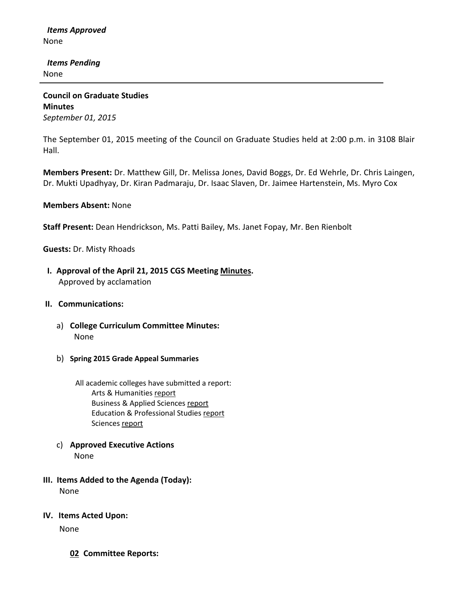*Items Approved* None

 *Items Pending* None

**Council on Graduate Studies Minutes** *September 01, 2015*

The September 01, 2015 meeting of the Council on Graduate Studies held at 2:00 p.m. in 3108 Blair Hall.

**Members Present:** Dr. Matthew Gill, Dr. Melissa Jones, David Boggs, Dr. Ed Wehrle, Dr. Chris Laingen, Dr. Mukti Upadhyay, Dr. Kiran Padmaraju, Dr. Isaac Slaven, Dr. Jaimee Hartenstein, Ms. Myro Cox

**Members Absent:** None

**Staff Present:** Dean Hendrickson, Ms. Patti Bailey, Ms. Janet Fopay, Mr. Ben Rienbolt

**Guests:** Dr. Misty Rhoads

- **I. Approval of the April 21, 2015 CGS Meetin[g Minutes.](http://castle.eiu.edu/eiucgs/currentminutes/Minutes04-21-15.pdf)** Approved by acclamation
- **II. Communications:**
	- a) **College Curriculum Committee Minutes:** None
	- b) **Spring 2015 Grade Appeal Summaries**
		- All academic colleges have submitted a report: Arts & Humanitie[s report](http://castle.eiu.edu/%7Eeiucgs/documents/GradeAppealSP15CAH.pdf) Business & Applied Sciences [report](http://castle.eiu.edu/%7Eeiucgs/documents/GradeAppealSP15LCBAS.pdf) Education & Professional Studie[s report](http://castle.eiu.edu/%7Eeiucgs/documents/GradeAppealSP15CEPS.pdf) Sciences [report](http://castle.eiu.edu/%7Eeiucgs/documents/GradeAppealSP15COS.pdf)
	- c) **Approved Executive Actions** None
- **III. Items Added to the Agenda (Today):** None
- **IV. Items Acted Upon:**

None

**02 Committee Reports:**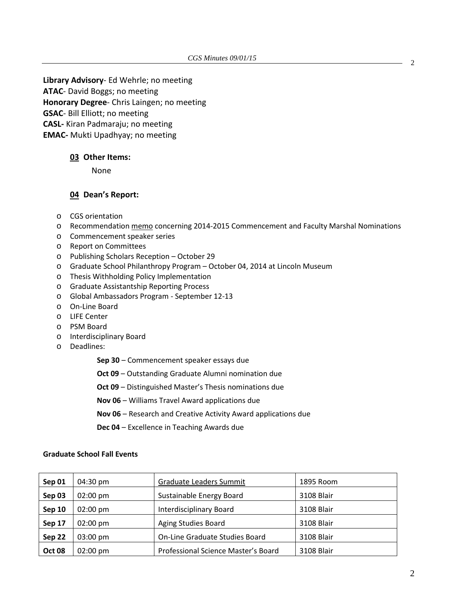**Library Advisory**- Ed Wehrle; no meeting **ATAC**- David Boggs; no meeting **Honorary Degree**- Chris Laingen; no meeting **GSAC**- Bill Elliott; no meeting **CASL-** Kiran Padmaraju; no meeting **EMAC-** Mukti Upadhyay; no meeting

## **03 Other Items:**

None

## **04 Dean's Report:**

- o CGS orientation
- o Recommendatio[n memo](http://castle.eiu.edu/%7Eeiucgs/documents/2014-2015CommencementFacultyMarshal.pdf) concerning 2014-2015 Commencement and Faculty Marshal Nominations
- o Commencement speaker series
- o Report on Committees
- o Publishing Scholars Reception October 29
- o Graduate School Philanthropy Program October 04, 2014 at Lincoln Museum
- o Thesis Withholding Policy Implementation
- o Graduate Assistantship Reporting Process
- o Global Ambassadors Program September 12-13
- o On-Line Board
- o LIFE Center
- o PSM Board
- o Interdisciplinary Board
- o Deadlines:

**Sep 30** – [Commencement speaker essays due](http://www.eiu.edu/graduate/students_awards_competitivestudent.php%23CommencementSpeaker)

**Oct 09** – [Outstanding Graduate Alumni nomination due](http://www.eiu.edu/graduate/pdf/Outstanding_Alumni_Nomination_Form.pdf)

**Oct 09** – [Distinguished Master's Thesis nominations due](http://www.eiu.edu/graduate/students_awards_competitivestudent.php%23distinguished_thesis_mags)

**Nov 06** – [Williams Travel Award applications due](http://www.eiu.edu/graduate/students_awards_competitivestudent.php%23williams)

**Nov 06** – [Research and Creative Activity Award applications due](http://www.eiu.edu/graduate/students_awards_competitivestudent.php%23research_activity)

**Dec 04** – [Excellence in Teaching Awards due](http://www.eiu.edu/graduate/students_awards_competitivestudent.php%23teaching)

## **Graduate School Fall Events**

| Sep 01        | $04:30 \text{ pm}$ | Graduate Leaders Summit             | 1895 Room  |
|---------------|--------------------|-------------------------------------|------------|
| Sep 03        | $02:00 \text{ pm}$ | Sustainable Energy Board            | 3108 Blair |
| Sep 10        | $02:00 \text{ pm}$ | <b>Interdisciplinary Board</b>      | 3108 Blair |
| Sep 17        | $02:00 \text{ pm}$ | Aging Studies Board                 | 3108 Blair |
| Sep 22        | $03:00 \text{ pm}$ | On-Line Graduate Studies Board      | 3108 Blair |
| <b>Oct 08</b> | $02:00 \text{ pm}$ | Professional Science Master's Board | 3108 Blair |